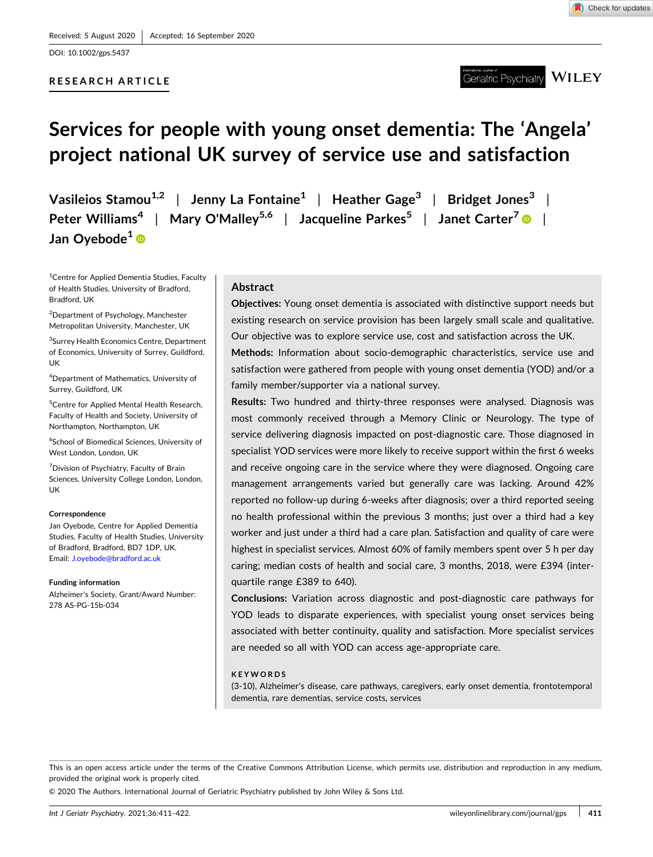DOI: [10.1002/gps.5437](https://doi.org/10.1002/gps.5437)

# **RESEARCH ARTICLE**

Geriatric Psychiatry  $\overline{\text{WILEY}}$ 

# **Services for people with young onset dementia: The 'Angela' project national UK survey of service use and satisfaction**

**Vasileios Stamou1,2** | **Jenny La Fontaine1** | **Heather Gage3** | **Bridget Jones3** | **Peter Williams4** | **Mary O'Malley5,6** | **Jacqueline Parkes<sup>5</sup>** | **Janet Carter7** | **Jan Oyebode1**

<sup>1</sup> Centre for Applied Dementia Studies, Faculty of Health Studies, University of Bradford, Bradford, UK

<sup>2</sup>Department of Psychology, Manchester Metropolitan University, Manchester, UK

<sup>3</sup>Surrey Health Economics Centre, Department of Economics, University of Surrey, Guildford, UK

4 Department of Mathematics, University of Surrey, Guildford, UK

5 Centre for Applied Mental Health Research, Faculty of Health and Society, University of Northampton, Northampton, UK

6 School of Biomedical Sciences, University of West London, London, UK

<sup>7</sup> Division of Psychiatry, Faculty of Brain Sciences, University College London, London, UK

#### **Correspondence**

Jan Oyebode, Centre for Applied Dementia Studies, Faculty of Health Studies, University of Bradford, Bradford, BD7 1DP, UK. Email: [J.oyebode@bradford.ac.uk](mailto:J.oyebode@bradford.ac.uk)

#### **Funding information**

Alzheimer's Society, Grant/Award Number: 278 AS‐PG‐15b‐034

# **Abstract**

**Objectives:** Young onset dementia is associated with distinctive support needs but existing research on service provision has been largely small scale and qualitative. Our objective was to explore service use, cost and satisfaction across the UK.

**Methods:** Information about socio‐demographic characteristics, service use and satisfaction were gathered from people with young onset dementia (YOD) and/or a family member/supporter via a national survey.

**Results:** Two hundred and thirty‐three responses were analysed. Diagnosis was most commonly received through a Memory Clinic or Neurology. The type of service delivering diagnosis impacted on post-diagnostic care. Those diagnosed in specialist YOD services were more likely to receive support within the first 6 weeks and receive ongoing care in the service where they were diagnosed. Ongoing care management arrangements varied but generally care was lacking. Around 42% reported no follow‐up during 6‐weeks after diagnosis; over a third reported seeing no health professional within the previous 3 months; just over a third had a key worker and just under a third had a care plan. Satisfaction and quality of care were highest in specialist services. Almost 60% of family members spent over 5 h per day caring; median costs of health and social care, 3 months, 2018, were £394 (interquartile range £389 to 640).

**Conclusions:** Variation across diagnostic and post‐diagnostic care pathways for YOD leads to disparate experiences, with specialist young onset services being associated with better continuity, quality and satisfaction. More specialist services are needed so all with YOD can access age‐appropriate care.

#### **KEYWORDS**

(3‐10), Alzheimer's disease, care pathways, caregivers, early onset dementia, frontotemporal dementia, rare dementias, service costs, services

This is an open access article under the terms of the Creative Commons Attribution License, which permits use, distribution and reproduction in any medium, provided the original work is properly cited.

© 2020 The Authors. International Journal of Geriatric Psychiatry published by John Wiley & Sons Ltd.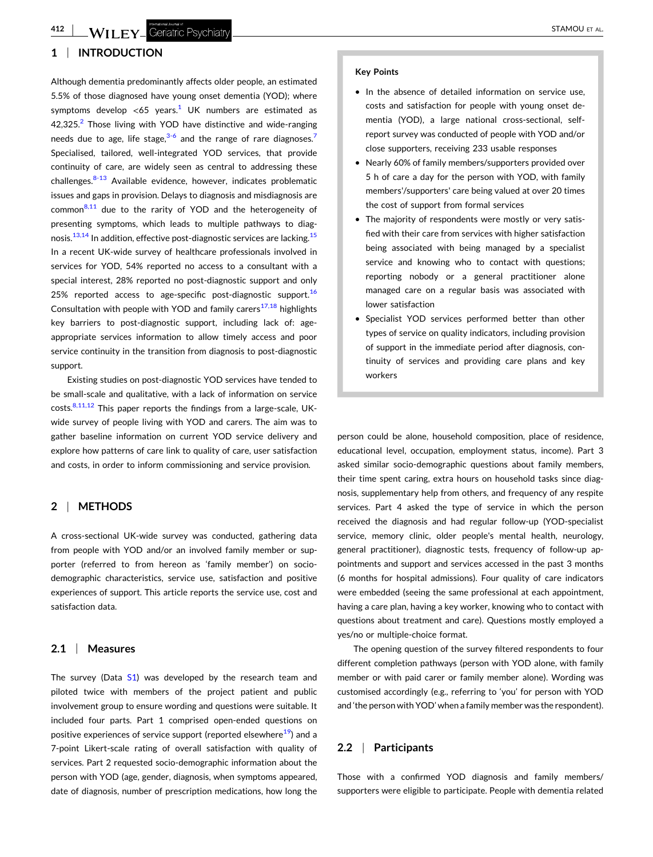# **1** <sup>|</sup> **INTRODUCTION**

Although dementia predominantly affects older people, an estimated 5.5% of those diagnosed have young onset dementia (YOD); where symptoms develop <65 years.<sup>1</sup> UK numbers are estimated as  $42,325.2$  $42,325.2$  $42,325.2$  Those living with YOD have distinctive and wide-ranging needs due to age, life stage, $3-6$  $3-6$  and the range of rare diagnoses.<sup>[7](#page-11-0)</sup> Specialised, tailored, well‐integrated YOD services, that provide continuity of care, are widely seen as central to addressing these challenges.<sup>8-[13](#page-11-0)</sup> Available evidence, however, indicates problematic issues and gaps in provision. Delays to diagnosis and misdiagnosis are  $common<sup>8,11</sup>$  $common<sup>8,11</sup>$  $common<sup>8,11</sup>$  due to the rarity of YOD and the heterogeneity of presenting symptoms, which leads to multiple pathways to diagnosis. $13,14$  In addition, effective post-diagnostic services are lacking. $15$ In a recent UK‐wide survey of healthcare professionals involved in services for YOD, 54% reported no access to a consultant with a special interest, 28% reported no post-diagnostic support and only 25% reported access to age-specific post-diagnostic support.<sup>16</sup> Consultation with people with YOD and family carers<sup>[17,18](#page-11-0)</sup> highlights key barriers to post-diagnostic support, including lack of: ageappropriate services information to allow timely access and poor service continuity in the transition from diagnosis to post-diagnostic support.

Existing studies on post‐diagnostic YOD services have tended to be small‐scale and qualitative, with a lack of information on service costs. $8,11,12$  This paper reports the findings from a large-scale, UKwide survey of people living with YOD and carers. The aim was to gather baseline information on current YOD service delivery and explore how patterns of care link to quality of care, user satisfaction and costs, in order to inform commissioning and service provision.

# **2** <sup>|</sup> **METHODS**

A cross‐sectional UK‐wide survey was conducted, gathering data from people with YOD and/or an involved family member or supporter (referred to from hereon as 'family member') on sociodemographic characteristics, service use, satisfaction and positive experiences of support. This article reports the service use, cost and satisfaction data.

# **2.1** <sup>|</sup> **Measures**

The survey (Data S1) was developed by the research team and piloted twice with members of the project patient and public involvement group to ensure wording and questions were suitable. It included four parts. Part 1 comprised open‐ended questions on positive experiences of service support (reported elsewhere $19$ ) and a 7‐point Likert‐scale rating of overall satisfaction with quality of services. Part 2 requested socio-demographic information about the person with YOD (age, gender, diagnosis, when symptoms appeared, date of diagnosis, number of prescription medications, how long the

#### **Key Points**

- � In the absence of detailed information on service use, costs and satisfaction for people with young onset dementia (YOD), a large national cross‐sectional, self‐ report survey was conducted of people with YOD and/or close supporters, receiving 233 usable responses
- � Nearly 60% of family members/supporters provided over 5 h of care a day for the person with YOD, with family members'/supporters' care being valued at over 20 times the cost of support from formal services
- � The majority of respondents were mostly or very satisfied with their care from services with higher satisfaction being associated with being managed by a specialist service and knowing who to contact with questions; reporting nobody or a general practitioner alone managed care on a regular basis was associated with lower satisfaction
- Specialist YOD services performed better than other types of service on quality indicators, including provision of support in the immediate period after diagnosis, continuity of services and providing care plans and key workers

person could be alone, household composition, place of residence, educational level, occupation, employment status, income). Part 3 asked similar socio‐demographic questions about family members, their time spent caring, extra hours on household tasks since diagnosis, supplementary help from others, and frequency of any respite services. Part 4 asked the type of service in which the person received the diagnosis and had regular follow‐up (YOD‐specialist service, memory clinic, older people's mental health, neurology, general practitioner), diagnostic tests, frequency of follow‐up appointments and support and services accessed in the past 3 months (6 months for hospital admissions). Four quality of care indicators were embedded (seeing the same professional at each appointment, having a care plan, having a key worker, knowing who to contact with questions about treatment and care). Questions mostly employed a yes/no or multiple‐choice format.

The opening question of the survey filtered respondents to four different completion pathways (person with YOD alone, with family member or with paid carer or family member alone). Wording was customised accordingly (e.g., referring to 'you' for person with YOD and 'the person with YOD' when a family member was the respondent).

# **2.2** <sup>|</sup> **Participants**

Those with a confirmed YOD diagnosis and family members/ supporters were eligible to participate. People with dementia related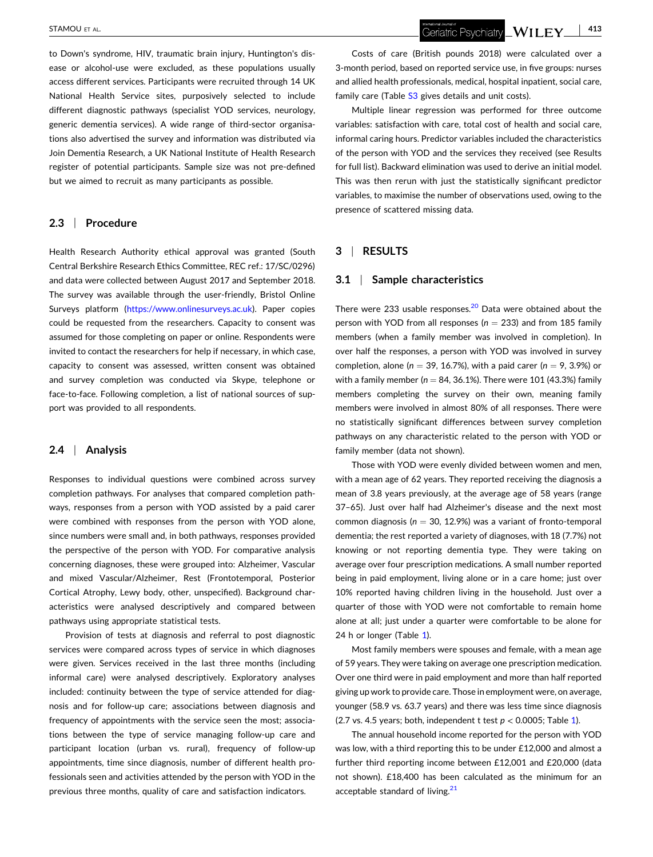to Down's syndrome, HIV, traumatic brain injury, Huntington's disease or alcohol-use were excluded, as these populations usually access different services. Participants were recruited through 14 UK National Health Service sites, purposively selected to include different diagnostic pathways (specialist YOD services, neurology, generic dementia services). A wide range of third‐sector organisations also advertised the survey and information was distributed via Join Dementia Research, a UK National Institute of Health Research register of potential participants. Sample size was not pre‐defined but we aimed to recruit as many participants as possible.

### **2.3** <sup>|</sup> **Procedure**

Health Research Authority ethical approval was granted (South Central Berkshire Research Ethics Committee, REC ref.: 17/SC/0296) and data were collected between August 2017 and September 2018. The survey was available through the user-friendly, Bristol Online Surveys platform (<https://www.onlinesurveys.ac.uk>). Paper copies could be requested from the researchers. Capacity to consent was assumed for those completing on paper or online. Respondents were invited to contact the researchers for help if necessary, in which case, capacity to consent was assessed, written consent was obtained and survey completion was conducted via Skype, telephone or face-to-face. Following completion, a list of national sources of support was provided to all respondents.

# **2.4** <sup>|</sup> **Analysis**

Responses to individual questions were combined across survey completion pathways. For analyses that compared completion pathways, responses from a person with YOD assisted by a paid carer were combined with responses from the person with YOD alone, since numbers were small and, in both pathways, responses provided the perspective of the person with YOD. For comparative analysis concerning diagnoses, these were grouped into: Alzheimer, Vascular and mixed Vascular/Alzheimer, Rest (Frontotemporal, Posterior Cortical Atrophy, Lewy body, other, unspecified). Background characteristics were analysed descriptively and compared between pathways using appropriate statistical tests.

Provision of tests at diagnosis and referral to post diagnostic services were compared across types of service in which diagnoses were given. Services received in the last three months (including informal care) were analysed descriptively. Exploratory analyses included: continuity between the type of service attended for diagnosis and for follow‐up care; associations between diagnosis and frequency of appointments with the service seen the most; associations between the type of service managing follow‐up care and participant location (urban vs. rural), frequency of follow‐up appointments, time since diagnosis, number of different health professionals seen and activities attended by the person with YOD in the previous three months, quality of care and satisfaction indicators.

Costs of care (British pounds 2018) were calculated over a 3‐month period, based on reported service use, in five groups: nurses and allied health professionals, medical, hospital inpatient, social care, family care (Table S<sub>3</sub> gives details and unit costs).

Multiple linear regression was performed for three outcome variables: satisfaction with care, total cost of health and social care, informal caring hours. Predictor variables included the characteristics of the person with YOD and the services they received (see Results for full list). Backward elimination was used to derive an initial model. This was then rerun with just the statistically significant predictor variables, to maximise the number of observations used, owing to the presence of scattered missing data.

# **3** <sup>|</sup> **RESULTS**

#### **3.1** <sup>|</sup> **Sample characteristics**

There were 233 usable responses. $20$  Data were obtained about the person with YOD from all responses ( $n = 233$ ) and from 185 family members (when a family member was involved in completion). In over half the responses, a person with YOD was involved in survey completion, alone ( $n = 39$ , 16.7%), with a paid carer ( $n = 9$ , 3.9%) or with a family member ( $n = 84, 36.1\%$ ). There were 101 (43.3%) family members completing the survey on their own, meaning family members were involved in almost 80% of all responses. There were no statistically significant differences between survey completion pathways on any characteristic related to the person with YOD or family member (data not shown).

Those with YOD were evenly divided between women and men, with a mean age of 62 years. They reported receiving the diagnosis a mean of 3.8 years previously, at the average age of 58 years (range 37–65). Just over half had Alzheimer's disease and the next most common diagnosis ( $n = 30, 12.9%$ ) was a variant of fronto-temporal dementia; the rest reported a variety of diagnoses, with 18 (7.7%) not knowing or not reporting dementia type. They were taking on average over four prescription medications. A small number reported being in paid employment, living alone or in a care home; just over 10% reported having children living in the household. Just over a quarter of those with YOD were not comfortable to remain home alone at all; just under a quarter were comfortable to be alone for 24 h or longer (Table [1](#page-3-0)).

Most family members were spouses and female, with a mean age of 59 years. They were taking on average one prescription medication. Over one third were in paid employment and more than half reported giving up work to provide care. Those in employment were, on average, younger (58.9 vs. 63.7 years) and there was less time since diagnosis (2.7 vs. 4.5 years; both, independent t test  $p < 0.0005$ ; Table [1](#page-3-0)).

The annual household income reported for the person with YOD was low, with a third reporting this to be under £12,000 and almost a further third reporting income between £12,001 and £20,000 (data not shown). £18,400 has been calculated as the minimum for an acceptable standard of living.<sup>[21](#page-11-0)</sup>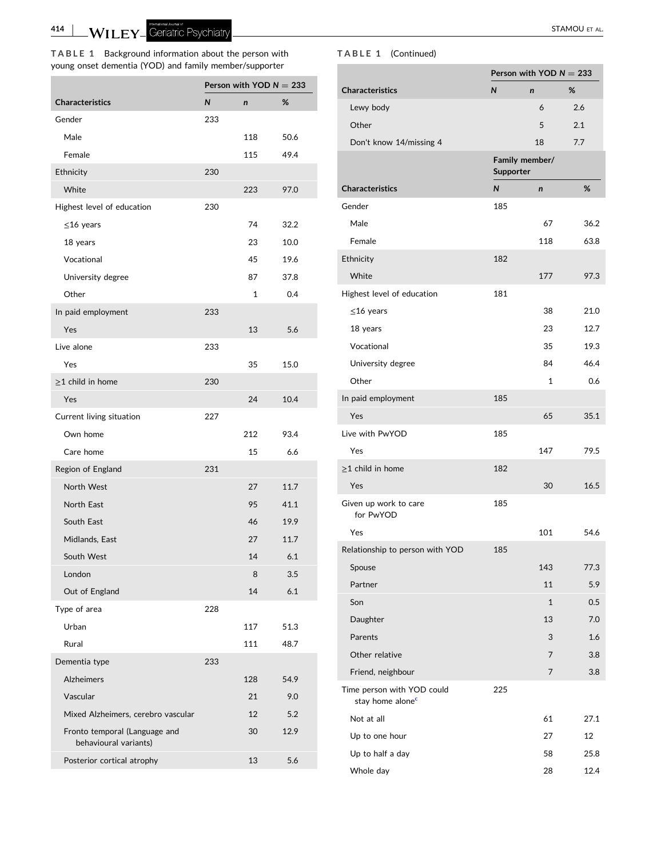- STAMOU ET AL.

# <span id="page-3-0"></span>**TABLE 1** Background information about the person with young onset dementia (YOD) and family member/supporter

|                                                        |              | Person with YOD $N = 233$ |      |
|--------------------------------------------------------|--------------|---------------------------|------|
| <b>Characteristics</b>                                 | $\mathsf{N}$ | $\mathsf{n}$              | %    |
| Gender                                                 | 233          |                           |      |
| Male                                                   |              | 118                       | 50.6 |
| Female                                                 |              | 115                       | 49.4 |
| Ethnicity                                              | 230          |                           |      |
| White                                                  |              | 223                       | 97.0 |
| Highest level of education                             | 230          |                           |      |
| $\leq$ 16 years                                        |              | 74                        | 32.2 |
| 18 years                                               |              | 23                        | 10.0 |
| Vocational                                             |              | 45                        | 19.6 |
| University degree                                      |              | 87                        | 37.8 |
| Other                                                  |              | 1                         | 0.4  |
| In paid employment                                     | 233          |                           |      |
| Yes                                                    |              | 13                        | 5.6  |
| Live alone                                             | 233          |                           |      |
| Yes                                                    |              | 35                        | 15.0 |
| $\geq$ 1 child in home                                 | 230          |                           |      |
| Yes                                                    |              | 24                        | 10.4 |
| Current living situation                               | 227          |                           |      |
| Own home                                               |              | 212                       | 93.4 |
| Care home                                              |              | 15                        | 6.6  |
| Region of England                                      | 231          |                           |      |
| North West                                             |              | 27                        | 11.7 |
| North East                                             |              | 95                        | 41.1 |
| South East                                             |              | 46                        | 19.9 |
| Midlands, East                                         |              | 27                        | 11.7 |
| South West                                             |              | 14                        | 6.1  |
| London                                                 |              | 8                         | 3.5  |
| Out of England                                         |              | 14                        | 6.1  |
| Type of area                                           | 228          |                           |      |
| Urban                                                  |              | 117                       | 51.3 |
| Rural                                                  |              | 111                       | 48.7 |
| Dementia type                                          | 233          |                           |      |
| <b>Alzheimers</b>                                      |              | 128                       | 54.9 |
| Vascular                                               |              | 21                        | 9.0  |
| Mixed Alzheimers, cerebro vascular                     |              | 12                        | 5.2  |
| Fronto temporal (Language and<br>behavioural variants) |              | 30                        | 12.9 |
| Posterior cortical atrophy                             |              | 13                        | 5.6  |

# **TABLE 1** (Continued)

|                                                            |              | Person with YOD $N = 233$ |      |
|------------------------------------------------------------|--------------|---------------------------|------|
| <b>Characteristics</b>                                     | $\mathsf{N}$ | $\mathbf n$               | %    |
| Lewy body                                                  |              | 6                         | 2.6  |
| Other                                                      |              | 5                         | 2.1  |
| Don't know 14/missing 4                                    |              | 18                        | 7.7  |
|                                                            | Supporter    | Family member/            |      |
| <b>Characteristics</b>                                     | $\mathsf{N}$ | n                         | %    |
| Gender                                                     | 185          |                           |      |
| Male                                                       |              | 67                        | 36.2 |
| Female                                                     |              | 118                       | 63.8 |
| Ethnicity                                                  | 182          |                           |      |
| White                                                      |              | 177                       | 97.3 |
| Highest level of education                                 | 181          |                           |      |
| $\leq$ 16 years                                            |              | 38                        | 21.0 |
| 18 years                                                   |              | 23                        | 12.7 |
| Vocational                                                 |              | 35                        | 19.3 |
| University degree                                          |              | 84                        | 46.4 |
| Other                                                      |              | 1                         | 0.6  |
| In paid employment                                         | 185          |                           |      |
| Yes                                                        |              | 65                        | 35.1 |
| Live with PwYOD                                            | 185          |                           |      |
| Yes                                                        |              | 147                       | 79.5 |
| $\geq$ 1 child in home                                     | 182          |                           |      |
| Yes                                                        |              | 30                        | 16.5 |
| Given up work to care<br>for PwYOD                         | 185          |                           |      |
| Yes                                                        |              | 101                       | 54.6 |
| Relationship to person with YOD                            | 185          |                           |      |
| Spouse                                                     |              | 143                       | 77.3 |
| Partner                                                    |              | 11                        | 5.9  |
| Son                                                        |              | 1                         | 0.5  |
| Daughter                                                   |              | 13                        | 7.0  |
| Parents                                                    |              | 3                         | 1.6  |
| Other relative                                             |              | 7                         | 3.8  |
| Friend, neighbour                                          |              | 7                         | 3.8  |
| Time person with YOD could<br>stay home alone <sup>c</sup> | 225          |                           |      |
| Not at all                                                 |              | 61                        | 27.1 |
| Up to one hour                                             |              | 27                        | 12   |
| Up to half a day                                           |              | 58                        | 25.8 |
| Whole day                                                  |              | 28                        | 12.4 |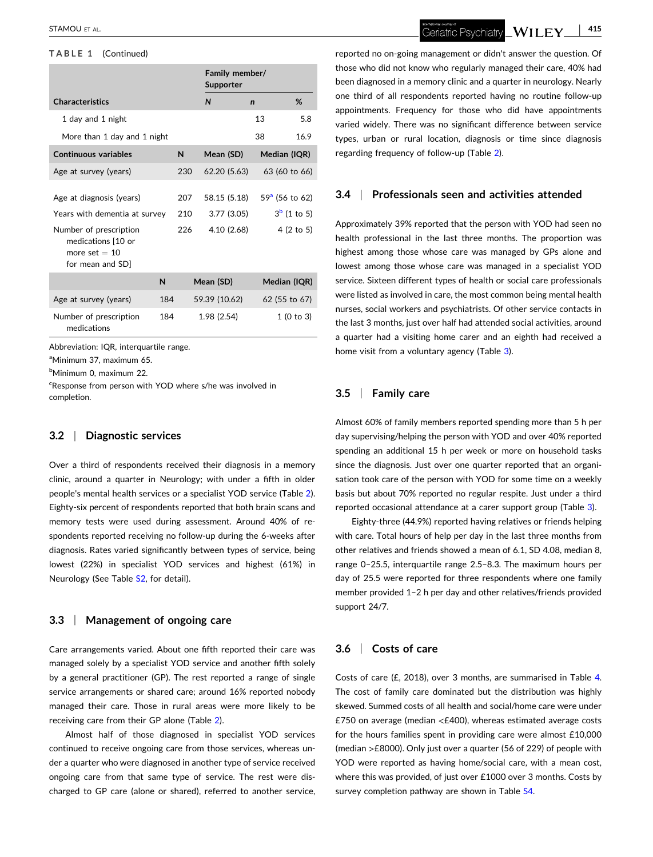#### <span id="page-4-0"></span>**TABLE 1** (Continued)

|                                                                                                                                                  |     |                   | Supporter                                | Family member/ |                  |                                        |
|--------------------------------------------------------------------------------------------------------------------------------------------------|-----|-------------------|------------------------------------------|----------------|------------------|----------------------------------------|
| <b>Characteristics</b>                                                                                                                           |     |                   | N                                        | $\mathbf n$    |                  | %                                      |
| 1 day and 1 night                                                                                                                                |     |                   |                                          |                | 13               | 5.8                                    |
| More than 1 day and 1 night                                                                                                                      |     |                   |                                          |                | 38               | 16.9                                   |
| <b>Continuous variables</b>                                                                                                                      |     | N                 | Mean (SD)                                |                | Median (IQR)     |                                        |
| Age at survey (years)                                                                                                                            |     | 230               | 62.20 (5.63)                             |                | 63 (60 to 66)    |                                        |
| Age at diagnosis (years)<br>Years with dementia at survey<br>Number of prescription<br>medications [10 or<br>more set $= 10$<br>for mean and SD] |     | 207<br>210<br>226 | 58.15 (5.18)<br>3.77(3.05)<br>4.10(2.68) |                | $59a$ (56 to 62) | $3^b$ (1 to 5)<br>$4(2 \text{ to } 5)$ |
|                                                                                                                                                  | N   |                   | Mean (SD)                                |                | Median (IQR)     |                                        |
| Age at survey (years)                                                                                                                            | 184 |                   | 59.39 (10.62)                            |                | 62 (55 to 67)    |                                        |
| Number of prescription<br>medications                                                                                                            | 184 |                   | 1.98 (2.54)                              |                |                  | 1(0 to 3)                              |

Abbreviation: IQR, interquartile range.

a Minimum 37, maximum 65.

b Minimum 0, maximum 22.

<sup>c</sup>Response from person with YOD where s/he was involved in completion.

### **3.2** <sup>|</sup> **Diagnostic services**

Over a third of respondents received their diagnosis in a memory clinic, around a quarter in Neurology; with under a fifth in older people's mental health services or a specialist YOD service (Table [2\)](#page-5-0). Eighty‐six percent of respondents reported that both brain scans and memory tests were used during assessment. Around 40% of respondents reported receiving no follow-up during the 6-weeks after diagnosis. Rates varied significantly between types of service, being lowest (22%) in specialist YOD services and highest (61%) in Neurology (See Table S2, for detail).

#### **3.3** <sup>|</sup> **Management of ongoing care**

Care arrangements varied. About one fifth reported their care was managed solely by a specialist YOD service and another fifth solely by a general practitioner (GP). The rest reported a range of single service arrangements or shared care; around 16% reported nobody managed their care. Those in rural areas were more likely to be receiving care from their GP alone (Table [2](#page-5-0)).

Almost half of those diagnosed in specialist YOD services continued to receive ongoing care from those services, whereas under a quarter who were diagnosed in another type of service received ongoing care from that same type of service. The rest were discharged to GP care (alone or shared), referred to another service, Geriatric Psychiatry  $\llcorner {\rm WILEY} \llcorner$ 

reported no on‐going management or didn't answer the question. Of those who did not know who regularly managed their care, 40% had been diagnosed in a memory clinic and a quarter in neurology. Nearly one third of all respondents reported having no routine follow‐up appointments. Frequency for those who did have appointments varied widely. There was no significant difference between service types, urban or rural location, diagnosis or time since diagnosis regarding frequency of follow‐up (Table [2](#page-5-0)).

# **3.4** <sup>|</sup> **Professionals seen and activities attended**

Approximately 39% reported that the person with YOD had seen no health professional in the last three months. The proportion was highest among those whose care was managed by GPs alone and lowest among those whose care was managed in a specialist YOD service. Sixteen different types of health or social care professionals were listed as involved in care, the most common being mental health nurses, social workers and psychiatrists. Of other service contacts in the last 3 months, just over half had attended social activities, around a quarter had a visiting home carer and an eighth had received a home visit from a voluntary agency (Table [3](#page-6-0)).

# **3.5** <sup>|</sup> **Family care**

Almost 60% of family members reported spending more than 5 h per day supervising/helping the person with YOD and over 40% reported spending an additional 15 h per week or more on household tasks since the diagnosis. Just over one quarter reported that an organisation took care of the person with YOD for some time on a weekly basis but about 70% reported no regular respite. Just under a third reported occasional attendance at a carer support group (Table [3](#page-6-0)).

Eighty-three (44.9%) reported having relatives or friends helping with care. Total hours of help per day in the last three months from other relatives and friends showed a mean of 6.1, SD 4.08, median 8, range 0–25.5, interquartile range 2.5–8.3. The maximum hours per day of 25.5 were reported for three respondents where one family member provided 1–2 h per day and other relatives/friends provided support 24/7.

# **3.6** <sup>|</sup> **Costs of care**

Costs of care (£, 2018), over 3 months, are summarised in Table [4](#page-7-0). The cost of family care dominated but the distribution was highly skewed. Summed costs of all health and social/home care were under £750 on average (median <£400), whereas estimated average costs for the hours families spent in providing care were almost £10,000 (median >£8000). Only just over a quarter (56 of 229) of people with YOD were reported as having home/social care, with a mean cost, where this was provided, of just over £1000 over 3 months. Costs by survey completion pathway are shown in Table S4.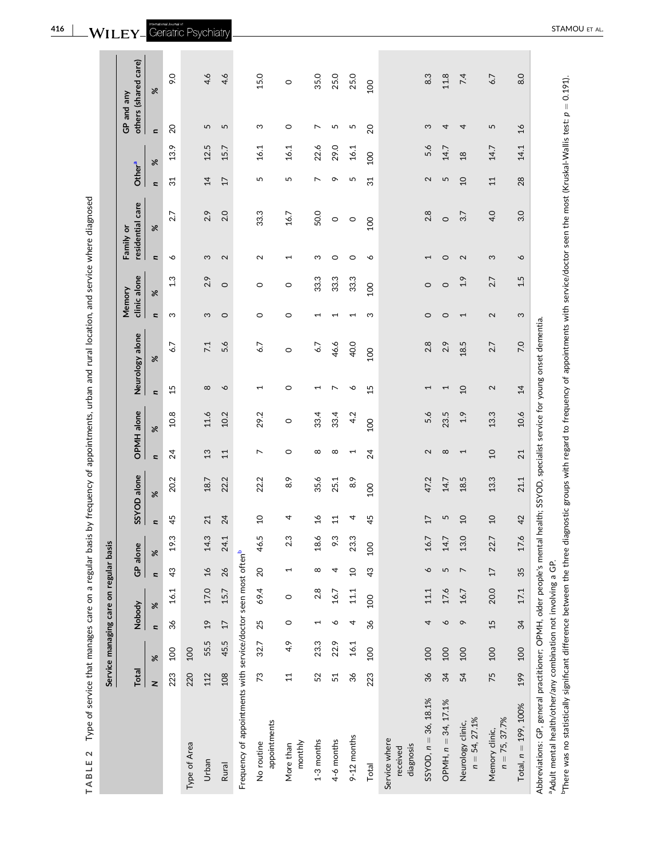|   | l                                                             |
|---|---------------------------------------------------------------|
|   |                                                               |
|   |                                                               |
|   |                                                               |
|   |                                                               |
|   |                                                               |
|   |                                                               |
|   |                                                               |
|   |                                                               |
|   | ī                                                             |
|   |                                                               |
|   |                                                               |
|   |                                                               |
|   |                                                               |
|   |                                                               |
|   |                                                               |
|   |                                                               |
|   |                                                               |
|   |                                                               |
|   |                                                               |
|   |                                                               |
|   |                                                               |
|   | ţ                                                             |
|   |                                                               |
|   |                                                               |
|   |                                                               |
|   |                                                               |
|   | l                                                             |
|   |                                                               |
|   |                                                               |
|   | ì                                                             |
|   | ١                                                             |
|   |                                                               |
|   |                                                               |
|   | I                                                             |
|   | $\overline{\phantom{a}}$                                      |
|   |                                                               |
|   |                                                               |
|   |                                                               |
|   |                                                               |
|   |                                                               |
|   | $\mathbf{r}$                                                  |
|   |                                                               |
|   |                                                               |
|   |                                                               |
|   | Í                                                             |
|   | Ś                                                             |
|   |                                                               |
|   |                                                               |
|   |                                                               |
|   |                                                               |
|   |                                                               |
|   | l                                                             |
|   |                                                               |
|   |                                                               |
|   |                                                               |
|   |                                                               |
|   |                                                               |
|   |                                                               |
|   |                                                               |
|   | ֚֘֝֬                                                          |
|   | $\overline{\phantom{a}}$                                      |
|   | ֖֖֖֖֖֪ׅ֪ׅ֪ׅ֖֪ׅ֪֪ׅ֖֧֧֪ׅ֪֪֪֪֪ׅ֖֚֚֚֚֚֚֚֚֚֚֚֚֚֚֚֚֚֚֚֚֬֝֝֝֝֝֓֞֝֬֓֬ |
|   |                                                               |
|   | ì                                                             |
|   |                                                               |
|   |                                                               |
|   |                                                               |
|   | 5                                                             |
|   |                                                               |
|   |                                                               |
|   |                                                               |
|   |                                                               |
|   |                                                               |
|   | ֕                                                             |
|   | ì                                                             |
|   |                                                               |
|   |                                                               |
|   |                                                               |
|   |                                                               |
|   |                                                               |
|   |                                                               |
|   |                                                               |
|   |                                                               |
|   |                                                               |
|   |                                                               |
|   |                                                               |
|   |                                                               |
|   |                                                               |
|   |                                                               |
|   |                                                               |
|   |                                                               |
|   | 5<br>5                                                        |
|   | $\frac{1}{2}$                                                 |
|   |                                                               |
|   |                                                               |
|   |                                                               |
|   |                                                               |
|   |                                                               |
|   |                                                               |
|   |                                                               |
|   |                                                               |
|   |                                                               |
|   | į                                                             |
|   |                                                               |
| I |                                                               |
|   |                                                               |
| ¢ | I                                                             |
|   |                                                               |
| l | ı<br>J                                                        |
|   | J                                                             |
|   | ١                                                             |
| Ĺ | 1                                                             |
| I | ₫                                                             |

<span id="page-5-0"></span>

|                                                                                                                                                      |        |      |                 | Service managing care on regular basis |                          |      |                |             |                          |            |                 |                                                             |             |              |                          |                  |                          |                |                |                      |
|------------------------------------------------------------------------------------------------------------------------------------------------------|--------|------|-----------------|----------------------------------------|--------------------------|------|----------------|-------------|--------------------------|------------|-----------------|-------------------------------------------------------------|-------------|--------------|--------------------------|------------------|--------------------------|----------------|----------------|----------------------|
|                                                                                                                                                      | Total  |      | Nobody          |                                        | GP alone                 |      |                | SSYOD alone |                          | OPMH alone |                 | Neurology alone                                             | Memory      | clinic alone | Family or                | residential care | Other <sup>a</sup>       |                | GP and any     | others (shared care) |
|                                                                                                                                                      | $\geq$ | $\%$ | $\overline{a}$  | $\%$                                   | $\overline{\phantom{a}}$ | $\%$ | n              | %           | n                        | %          | n               | ৯ৎ                                                          | u           | ৯ৎ           | u                        | ৯ৎ               | $\overline{\phantom{a}}$ | %              | $\blacksquare$ | ৯ৎ                   |
|                                                                                                                                                      | 223    | 100  | 36              | 16.1                                   | 43                       | 19.3 | 45             | 20.2        | 24                       | 10.8       | 15              | 6.7                                                         | S           | 13           | ∘                        | 2.7              | $\overline{31}$          | 13.9           | 20             | 9.0                  |
| Type of Area                                                                                                                                         | 220    | 100  |                 |                                        |                          |      |                |             |                          |            |                 |                                                             |             |              |                          |                  |                          |                |                |                      |
| Urban                                                                                                                                                | 112    | 55.5 | $\overline{c}$  | 17.0                                   | $\frac{16}{1}$           | 14.3 | 21             | 18.7        | 13                       | 11.6       | $\infty$        | 7.1                                                         | S           | 2.9          | S                        | 2.9              | 14                       | 12.5           | 5              | 4.6                  |
| Rural                                                                                                                                                | 108    | 45.5 | $\overline{17}$ | 15.7                                   | 26                       | 24.1 | 24             | 22.2        | $\overline{11}$          | 10.2       | $\circ$         | 5.6                                                         | $\circ$     | $\circ$      | $\mathbf{\Omega}$        | 2.0              | $\overline{17}$          | 15.7           | 5              | 4.6                  |
| Frequency of appointments with service/doctor seen most oftenb                                                                                       |        |      |                 |                                        |                          |      |                |             |                          |            |                 |                                                             |             |              |                          |                  |                          |                |                |                      |
| appointments<br>No routine                                                                                                                           | 73     | 32.7 | 25              | 69.4                                   | 20                       | 46.5 | $\overline{a}$ | 22.2        | $\overline{ }$           | 29.2       | $\overline{ }$  | 6.7                                                         | $\circ$     | O            | $\sim$                   | 33.3             | 5                        | 16.1           | ω              | 15.0                 |
| monthly<br>More than                                                                                                                                 | $\Xi$  | 4.9  | $\circ$         | $\circ$                                | 1                        | 2.3  | 4              | 8.9         | 0                        | $\circ$    | 0               | 0                                                           | 0           | O            | $\overline{\phantom{0}}$ | 16.7             | 5                        | 16.1           | 0              | $\circ$              |
| $1-3$ months                                                                                                                                         | 52     | 23.3 | ſ               | 2.8                                    | $\infty$                 | 18.6 | $\mathfrak{a}$ | 35.6        | $\infty$                 | 33.4       | 1               | 6.7                                                         | ⊣           | 33.3         | ς                        | 50.0             | $\overline{ }$           | 22.6           | $\overline{ }$ | 35.0                 |
| 4-6 months                                                                                                                                           | 51     | 22.9 | ∘               | 16.7                                   | 4                        | 9.3  | $\Xi$          | 25.1        | $^{\circ}$               | 33.4       | ↖               | 46.6                                                        |             | 33.3         | 0                        | $\circ$          | ᡐ                        | 29.0           | 5              | 25.0                 |
| 9-12 months                                                                                                                                          | 36     | 16.1 | 4               | $11.1\,$                               | $\overline{10}$          | 23.3 | 4              | 8.9         | $\overline{\phantom{0}}$ | 4.2        | ♦               | 40.0                                                        | ⊣           | 33.3         | $\circ$                  | $\circ$          | 5                        | 16.1           | 5              | 25.0                 |
| Total                                                                                                                                                | 223    | 100  | 36              | 100                                    | 43                       | 100  | 45             | 100         | 24                       | 100        | 15              | 100                                                         | ω           | 100          | ∘                        | 100              | $\overline{31}$          | 100            | 20             | 100                  |
| Service where<br>diagnosis<br>received                                                                                                               |        |      |                 |                                        |                          |      |                |             |                          |            |                 |                                                             |             |              |                          |                  |                          |                |                |                      |
| SSYOD, $n = 36$ , 18.1%                                                                                                                              | 36     | 100  | 4               | 11.1                                   | $\circ$                  | 16.7 | $\overline{1}$ | 47.2        | $\mathbf{C}$             | 5.6        | Ţ               | 2.8                                                         | $\circ$     | $\circ$      |                          | 2.8              | 2                        | 5.6            | S              | 8.3                  |
| OPMH, $n = 34$ , $17.1\%$                                                                                                                            | 34     | 100  | ó               | 17.6                                   | 5                        | 14.7 | 5              | 14.7        | $\infty$                 | 23.5       | ٣               | 2.9                                                         | $\circ$     | $\circ$      | $\circ$                  | $\circ$          | 5                        | 14.7           | 4              | 11.8                 |
| $n = 54, 27.1\%$<br>Neurology clinic,                                                                                                                | 54     | 100  | $\sigma$        | 16.7                                   | $\overline{ }$           | 13.0 | $\overline{a}$ | 18.5        | F                        | 1.9        | $\overline{a}$  | 18.5                                                        | T           | 2.9          | 2                        | 3.7              | $\overline{a}$           | $\frac{8}{10}$ | 4              | 7.4                  |
| $n = 75, 37.7%$<br>Memory clinic,                                                                                                                    | 75     | 100  | 15              | 20.0                                   | 17                       | 22.7 | $\Omega$       | 13.3        | $\Omega$                 | 13.3       | 2               | 2.7                                                         | $\mathbf 2$ | 2.7          | ω                        | 4.0              | 11                       | 14.7           | 5              | 6.7                  |
| Total, $n = 199$ , $100\%$                                                                                                                           | 199    | 100  | 34              | 17.1                                   | 35                       | 17.6 | 42             | 21.1        | 21                       | 10.6       | $\overline{14}$ | 7.0                                                         | S           | 1.5          | P                        | 3.0              | 28                       | 14.1           | $\frac{6}{1}$  | 8.0                  |
| Abbreviations: GP, general practitioner; OPMH, older people's mental I<br><sup>a</sup> Adult mental health/other/any combination not involving a GP. |        |      |                 |                                        |                          |      |                |             |                          |            |                 | nealth; SSYOD, specialist service for young onset dementia. |             |              |                          |                  |                          |                |                |                      |

bThere was no statistically significant difference between the three diagnostic groups with regard to frequency of appointments with service/doctor seen the most (Kruskal‐Wallis test: *p* ¼ 0.191).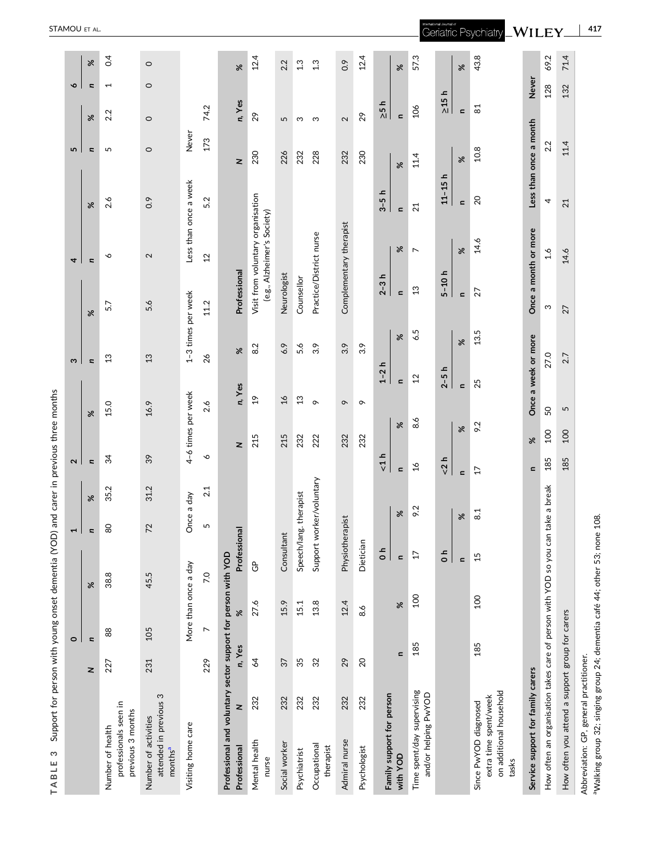| l<br>ĺ<br>ׇ֚֘ |
|---------------|
|               |
| j<br>۱        |
| Í<br>į<br>۱   |

| Support for person with young onset dementia (YOD)<br>S<br>TABLE                   |                |                                                                                                                                                                                                                                                                                                                                                                                                                                                                                                                                                                                |                 |                          |                |                      | and carer in previous three months |                     |                    |                         |                                                                  |                |                        |                    |                          |     |
|------------------------------------------------------------------------------------|----------------|--------------------------------------------------------------------------------------------------------------------------------------------------------------------------------------------------------------------------------------------------------------------------------------------------------------------------------------------------------------------------------------------------------------------------------------------------------------------------------------------------------------------------------------------------------------------------------|-----------------|--------------------------|----------------|----------------------|------------------------------------|---------------------|--------------------|-------------------------|------------------------------------------------------------------|----------------|------------------------|--------------------|--------------------------|-----|
|                                                                                    |                | $\circ$                                                                                                                                                                                                                                                                                                                                                                                                                                                                                                                                                                        |                 | 1                        |                | 2                    |                                    | ω                   |                    |                         | 4                                                                |                | 5                      |                    | ç                        |     |
|                                                                                    | z              | n                                                                                                                                                                                                                                                                                                                                                                                                                                                                                                                                                                              | ৯ৎ              | u                        | ৯              | n                    | ৯ৎ                                 | n                   | ৯ৎ                 |                         | n                                                                | ৯              | u                      | ৯                  | Se<br>u                  |     |
| professionals seen in<br>previous 3 months<br>Number of health                     | 227            | 88                                                                                                                                                                                                                                                                                                                                                                                                                                                                                                                                                                             | 38.8            | 80                       | N<br>35.       | 34                   | 15.0                               | 13                  |                    | 5.7                     | ∾                                                                | 2.6            | 5                      | 2.2                | $\overline{\phantom{0}}$ | 0.4 |
| attended in previous 3<br>Number of activities<br>months <sup>a</sup>              | 231            | 105                                                                                                                                                                                                                                                                                                                                                                                                                                                                                                                                                                            | 45.5            | 72                       | 31.2           | 39                   | 16.9                               | 13                  |                    | 5.6                     | $\mathbf{\Omega}$                                                | 0.9            | $\circ$                | $\circ$            | $\circ$<br>$\circ$       |     |
| Visiting home care                                                                 |                | More than once a day                                                                                                                                                                                                                                                                                                                                                                                                                                                                                                                                                           |                 | Once a day               |                |                      | 4-6 times per week                 |                     | 1-3 times per week |                         | Less than once a week                                            |                | Never                  |                    |                          |     |
|                                                                                    | 229            | $\overline{ }$                                                                                                                                                                                                                                                                                                                                                                                                                                                                                                                                                                 | 7.0             | 5                        | 2.1            | $\mathsf{o}$         | 2.6                                | 26                  |                    | 11.2                    | 12                                                               | 5.2            | 173                    | 74.2               |                          |     |
| Professional and voluntary sector support for person with YOD<br>z<br>Professional | n, Yes         | $\aleph$                                                                                                                                                                                                                                                                                                                                                                                                                                                                                                                                                                       | Professional    |                          |                | z                    | n, Yes                             | $\aleph$            |                    | Professional            |                                                                  |                | z                      | n, Yes             | ৼ                        |     |
| 232<br>Mental health<br>nurse                                                      | $\overline{6}$ | 27.6                                                                                                                                                                                                                                                                                                                                                                                                                                                                                                                                                                           | ි               |                          |                | 215                  | $\frac{6}{1}$                      | 8.2                 |                    |                         | Visit from voluntary organisation<br>(e.g., Alzheimer's Society) |                | 230                    | 29                 | 12.4                     |     |
| 232<br>Social worker                                                               | 37             | 15.9                                                                                                                                                                                                                                                                                                                                                                                                                                                                                                                                                                           | Consultant      |                          |                | 215                  | $\overline{26}$                    | 6.9                 |                    | Neurologist             |                                                                  |                | 226                    | 5                  | 2.2                      |     |
| 232<br>Psychiatrist                                                                | 35             | 15.1                                                                                                                                                                                                                                                                                                                                                                                                                                                                                                                                                                           |                 | Speech/lang. therapist   |                | 232                  | 13                                 | 5.6                 |                    | Counsellor              |                                                                  |                | 232                    | ო                  | 1.3                      |     |
| 232<br>Occupational<br>therapist                                                   | 32             | 13.8                                                                                                                                                                                                                                                                                                                                                                                                                                                                                                                                                                           |                 | Support worker/voluntary |                | 222                  | $\sigma$                           | 3.9                 |                    | Practice/District nurse |                                                                  |                | 228                    | S                  | 1.3                      |     |
| 232<br>Admiral nurse                                                               | 29             | 12.4                                                                                                                                                                                                                                                                                                                                                                                                                                                                                                                                                                           |                 | Physiotherapist          |                | 232                  | $\circ$                            | 3.9                 |                    | Complementary therapist |                                                                  |                | 232                    | $\sim$             | 0.9                      |     |
| 232<br>Psychologist                                                                | 20             | 8.6                                                                                                                                                                                                                                                                                                                                                                                                                                                                                                                                                                            | Dietician       |                          |                | 232                  | $\circ$                            | 3.9                 |                    |                         |                                                                  |                | 230                    | 29                 | 12.4                     |     |
| Family support for person                                                          |                |                                                                                                                                                                                                                                                                                                                                                                                                                                                                                                                                                                                | $\frac{1}{2}$   |                          |                | ᅩ<br>$\vec{v}$       |                                    | $1-2h$              |                    | $2-3h$                  |                                                                  | $3-5h$         |                        | ᅩ<br>$\frac{1}{2}$ |                          |     |
| with YOD                                                                           | $\blacksquare$ | $% \mathcal{W}_{\alpha} \equiv \mathcal{W}_{\alpha} \equiv \mathcal{W}_{\alpha} \equiv \mathcal{W}_{\alpha} \equiv \mathcal{W}_{\alpha} \equiv \mathcal{W}_{\alpha} \equiv \mathcal{W}_{\alpha} \equiv \mathcal{W}_{\alpha} \equiv \mathcal{W}_{\alpha} \equiv \mathcal{W}_{\alpha} \equiv \mathcal{W}_{\alpha} \equiv \mathcal{W}_{\alpha} \equiv \mathcal{W}_{\alpha} \equiv \mathcal{W}_{\alpha} \equiv \mathcal{W}_{\alpha} \equiv \mathcal{W}_{\alpha} \equiv \mathcal{W}_{\alpha} \equiv \mathcal{W}_{\alpha} \equiv \mathcal{W}_{\alpha} \equiv \mathcal{W}_{\alpha} \$ | $\mathbf{C}$    | ৼ                        |                | $\blacksquare$       | $\aleph$                           | $\mathbf{C}$        | $\%$               | $\blacksquare$          | ৼ                                                                | $\mathbf{C}$   | ৼ                      | $\mathbf{C}$       | Se                       |     |
| Time spent/day supervising<br>and/or helping PwYOD                                 | 185            | 100                                                                                                                                                                                                                                                                                                                                                                                                                                                                                                                                                                            | $\overline{17}$ | 9.2                      |                | $\frac{6}{2}$        | 8.6                                | $\overline{12}$     | 6.5                | $\mathfrak{L}$          | $\overline{ }$                                                   | 21             | 11.4                   | 106                | 57.3                     |     |
|                                                                                    |                |                                                                                                                                                                                                                                                                                                                                                                                                                                                                                                                                                                                | $\frac{1}{0}$   |                          |                | $2 h$                |                                    | ᅩ<br>$2 - 5$        |                    | $5 - 10h$               |                                                                  | $11 - 15h$     |                        | ᅩ<br>$\geq$ 15     |                          |     |
|                                                                                    |                |                                                                                                                                                                                                                                                                                                                                                                                                                                                                                                                                                                                | $\mathbf{C}$    | $\aleph$                 | $\blacksquare$ |                      | ৼ                                  | $\blacksquare$      | ৼ                  | $\mathbf{r}$            | ৼ                                                                | $\blacksquare$ | ৼ                      | $\blacksquare$     | $\aleph$                 |     |
| on additional household<br>extra time spent/week<br>Since PwYOD diagnosed<br>tasks | 185            | 100                                                                                                                                                                                                                                                                                                                                                                                                                                                                                                                                                                            | 15              | $\approx$                |                | $\overline{1}$       | 9.2                                | 25                  | 13.5               | 27                      | 14.6                                                             | $\overline{c}$ | 10.8                   | $\overline{8}$     | 43.8                     |     |
| Service support for family carers                                                  |                |                                                                                                                                                                                                                                                                                                                                                                                                                                                                                                                                                                                |                 |                          |                | ৯ৎ<br>$\blacksquare$ |                                    | Once a week or more |                    | Once a month or more    |                                                                  |                | Less than once a month | Never              |                          |     |
| How often an organisation takes care of person with YOD so you can take a break    |                |                                                                                                                                                                                                                                                                                                                                                                                                                                                                                                                                                                                |                 |                          |                | 100<br>185           | SO                                 | 27.0                |                    | S                       | $\frac{6}{1}$                                                    | 4              | 2.2                    | 128                | 69.2                     |     |
| How often you attend a support group for carers                                    |                |                                                                                                                                                                                                                                                                                                                                                                                                                                                                                                                                                                                |                 |                          |                | 100<br>185           | 5                                  | 2.7                 |                    | 27                      | 14.6                                                             | 21             | 11.4                   | 132                | 71.4                     |     |
| Abbreviation: GP, general practitioner.                                            |                |                                                                                                                                                                                                                                                                                                                                                                                                                                                                                                                                                                                |                 |                          |                |                      |                                    |                     |                    |                         |                                                                  |                |                        |                    |                          |     |

<span id="page-6-0"></span>STAMOU ET AL .

Abbreviation: U-r, general practitioner.<br>ªWalking group 32; singing group 24; dementia café 44; other 53; none 108. aWalking group 32; singing group 24; dementia café 44; other 53; none 108.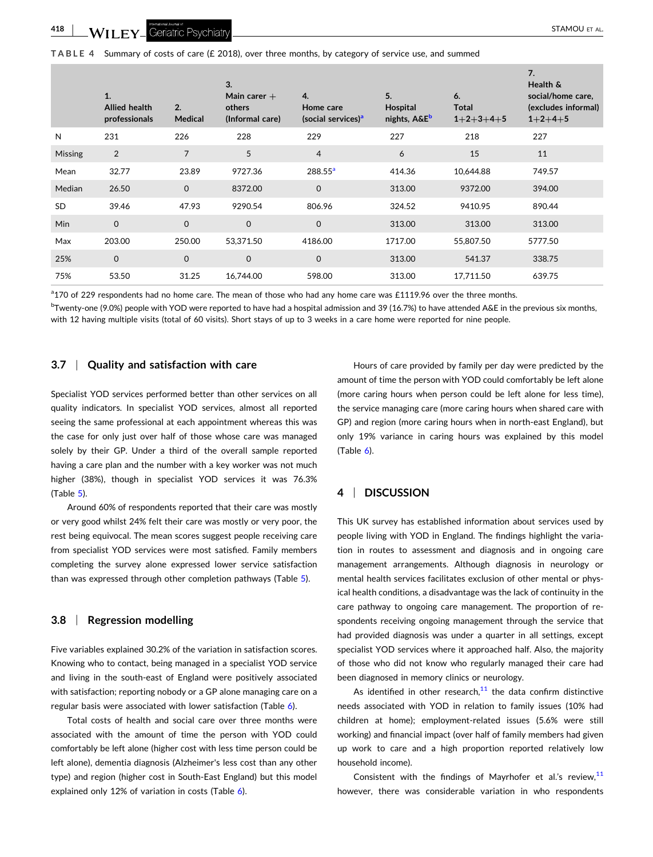

# <span id="page-7-0"></span>**TABLE 4** Summary of costs of care (£ 2018), over three months, by category

| of service use, and summed |  |
|----------------------------|--|
|                            |  |

|                | 1.<br><b>Allied health</b><br>professionals | 2.<br>Medical  | 3.<br>Main carer $+$<br>others<br>(Informal care) | 4.<br>Home care<br>(social services) <sup>a</sup> | 5.<br>Hospital<br>nights, A&E <sup>b</sup> | 6.<br>Total<br>$1+2+3+4+5$ | 7.<br>Health &<br>social/home care,<br>(excludes informal)<br>$1+2+4+5$ |
|----------------|---------------------------------------------|----------------|---------------------------------------------------|---------------------------------------------------|--------------------------------------------|----------------------------|-------------------------------------------------------------------------|
| N              | 231                                         | 226            | 228                                               | 229                                               | 227                                        | 218                        | 227                                                                     |
| <b>Missing</b> | $\overline{2}$                              | $\overline{7}$ | 5                                                 | $\overline{4}$                                    | 6                                          | 15                         | 11                                                                      |
| Mean           | 32.77                                       | 23.89          | 9727.36                                           | $288.55^{\circ}$                                  | 414.36                                     | 10,644.88                  | 749.57                                                                  |
| Median         | 26.50                                       | $\mathbf 0$    | 8372.00                                           | $\mathbf 0$                                       | 313.00                                     | 9372.00                    | 394.00                                                                  |
| <b>SD</b>      | 39.46                                       | 47.93          | 9290.54                                           | 806.96                                            | 324.52                                     | 9410.95                    | 890.44                                                                  |
| Min            | $\mathbf 0$                                 | $\mathbf 0$    | $\mathbf 0$                                       | $\mathbf 0$                                       | 313.00                                     | 313.00                     | 313.00                                                                  |
| Max            | 203.00                                      | 250.00         | 53,371.50                                         | 4186.00                                           | 1717.00                                    | 55,807.50                  | 5777.50                                                                 |
| 25%            | $\mathbf 0$                                 | $\mathbf 0$    | $\mathbf 0$                                       | $\mathbf 0$                                       | 313.00                                     | 541.37                     | 338.75                                                                  |
| 75%            | 53.50                                       | 31.25          | 16,744.00                                         | 598.00                                            | 313.00                                     | 17.711.50                  | 639.75                                                                  |

<sup>a</sup>170 of 229 respondents had no home care. The mean of those who had any home care was £1119.96 over the three months.

 $^{\rm b}$ Twenty-one (9.0%) people with YOD were reported to have had a hospital admission and 39 (16.7%) to have attended A&E in the previous six months, with 12 having multiple visits (total of 60 visits). Short stays of up to 3 weeks in a care home were reported for nine people.

# **3.7** <sup>|</sup> **Quality and satisfaction with care**

Specialist YOD services performed better than other services on all quality indicators. In specialist YOD services, almost all reported seeing the same professional at each appointment whereas this was the case for only just over half of those whose care was managed solely by their GP. Under a third of the overall sample reported having a care plan and the number with a key worker was not much higher (38%), though in specialist YOD services it was 76.3% (Table [5\)](#page-8-0).

Around 60% of respondents reported that their care was mostly or very good whilst 24% felt their care was mostly or very poor, the rest being equivocal. The mean scores suggest people receiving care from specialist YOD services were most satisfied. Family members completing the survey alone expressed lower service satisfaction than was expressed through other completion pathways (Table [5\)](#page-8-0).

# **3.8** <sup>|</sup> **Regression modelling**

Five variables explained 30.2% of the variation in satisfaction scores. Knowing who to contact, being managed in a specialist YOD service and living in the south-east of England were positively associated with satisfaction; reporting nobody or a GP alone managing care on a regular basis were associated with lower satisfaction (Table [6\)](#page-9-0).

Total costs of health and social care over three months were associated with the amount of time the person with YOD could comfortably be left alone (higher cost with less time person could be left alone), dementia diagnosis (Alzheimer's less cost than any other type) and region (higher cost in South‐East England) but this model explained only 12% of variation in costs (Table [6](#page-9-0)).

Hours of care provided by family per day were predicted by the amount of time the person with YOD could comfortably be left alone (more caring hours when person could be left alone for less time), the service managing care (more caring hours when shared care with GP) and region (more caring hours when in north‐east England), but only 19% variance in caring hours was explained by this model  $(Table 6)$  $(Table 6)$ .

# **4** <sup>|</sup> **DISCUSSION**

This UK survey has established information about services used by people living with YOD in England. The findings highlight the variation in routes to assessment and diagnosis and in ongoing care management arrangements. Although diagnosis in neurology or mental health services facilitates exclusion of other mental or physical health conditions, a disadvantage was the lack of continuity in the care pathway to ongoing care management. The proportion of respondents receiving ongoing management through the service that had provided diagnosis was under a quarter in all settings, except specialist YOD services where it approached half. Also, the majority of those who did not know who regularly managed their care had been diagnosed in memory clinics or neurology.

As identified in other research, $11$  the data confirm distinctive needs associated with YOD in relation to family issues (10% had children at home); employment‐related issues (5.6% were still working) and financial impact (over half of family members had given up work to care and a high proportion reported relatively low household income).

Consistent with the findings of Mayrhofer et al.'s review,  $11$ however, there was considerable variation in who respondents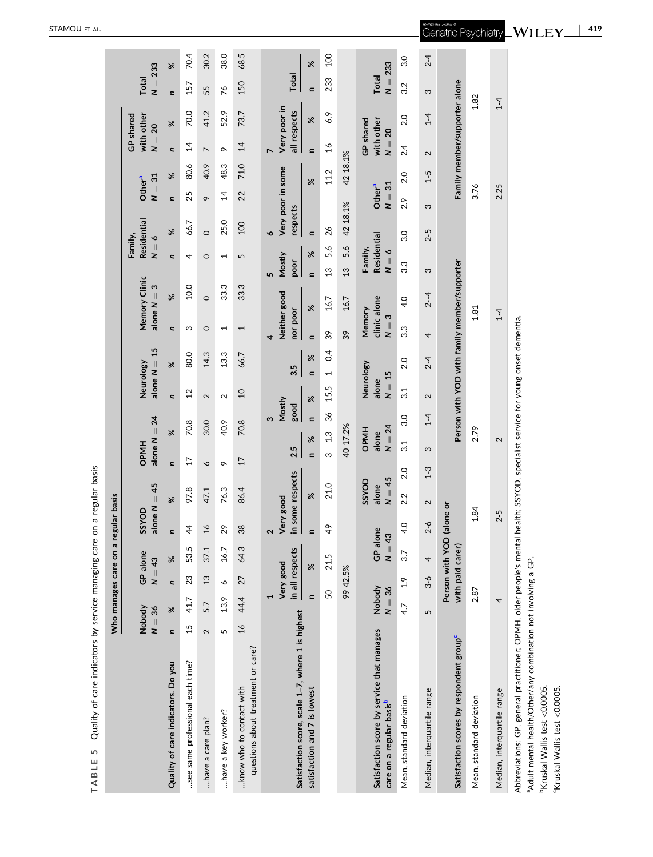|                                                                                    |                                 |                    | Who manages care on a                         |                                 | regular basis                  |                            |                 |                                  |                         |                                              |                                   |                                |                                   |                        |                                     |          |                                     |                               |                    |          |
|------------------------------------------------------------------------------------|---------------------------------|--------------------|-----------------------------------------------|---------------------------------|--------------------------------|----------------------------|-----------------|----------------------------------|-------------------------|----------------------------------------------|-----------------------------------|--------------------------------|-----------------------------------|------------------------|-------------------------------------|----------|-------------------------------------|-------------------------------|--------------------|----------|
|                                                                                    | Nobody<br>$N = 36$              |                    | GP alone<br>$N = 43$                          |                                 | alone $N = 45$<br>SSYOD        |                            | <b>OPMH</b>     | alone $N = 24$                   |                         | 15<br>alone $N =$<br>Neurology               |                                   | Memory Clinic<br>alone $N = 3$ | $N = 6$                           | Residential<br>Family, | Other <sup>a</sup><br>$\frac{1}{2}$ | 31       | with other<br>GP shared<br>$N = 20$ |                               | $N = 233$<br>Total |          |
| Quality of care indicators. Do you                                                 | $\%$<br>$\overline{\mathbf{z}}$ |                    | Se<br>$\overline{\mathbf{a}}$                 |                                 | $\overline{a}$                 | ৯ৎ                         | $\overline{a}$  | ৼ                                | $\overline{\mathbf{z}}$ | ৼ                                            | u                                 | ৯ৎ                             | <b>z</b>                          | ৼ                      | u                                   | ৼ        | $\overline{\mathbf{a}}$             | ৼ                             | u                  | ৼ        |
| see same professional each time?                                                   | 15                              | 41.7               | 23                                            | 53.5                            | $\ddot{4}$                     | 97.8                       | $\overline{1}$  | 70.8                             | $\overline{c}$          | 80.0                                         | ω                                 | 10.0                           | 4                                 | 66.7                   | 25                                  | 80.6     | $\overline{4}$                      | 70.0                          | 157                | 70.4     |
| have a care plan?                                                                  | 5.7<br>$\mathbf{\Omega}$        |                    | 13                                            | 37.1                            | $\mathfrak{a}$                 | 47.1                       | P               | 30.0                             | $\mathbf{\Omega}$       | 14.3                                         | $\circ$                           | $\circ$                        | $\circ$                           | $\circ$                | $\sigma$                            | 40.9     | $\overline{ }$                      | 41.2                          | 55                 | 30.2     |
| have a key worker?                                                                 | 5                               | 13.9               | P                                             | 16.7                            | 29                             | 76.3                       | $\sim$          | 40.9                             | $\mathbf{\Omega}$       | 13.3                                         | $\overline{\phantom{0}}$          | 33.3                           | $\overline{ }$                    | 25.0                   | $\overline{4}$                      | 48.3     | $\circ$                             | 52.9                          | 76                 | 38.0     |
| questions about treatment or care?<br>know who to contact with                     | 16                              | 44.4               | 27                                            | 64.3                            | 38                             | 86.4                       | $\overline{17}$ | 70.8                             | $\overline{a}$          | 66.7                                         | 1                                 | 33.3                           | 5                                 | 100                    | 22                                  | 71.0     | $\overline{4}$                      | 73.7                          | 150                | 68.5     |
|                                                                                    |                                 |                    | Very good                                     |                                 | Very good<br>$\mathbf{\Omega}$ |                            |                 | ω                                | Mostly                  |                                              | Neither good<br>4                 |                                | Mostly<br><u>In</u>               | Very poor in some<br>Ó |                                     |          | Very poor in                        |                               |                    |          |
| Satisfaction score, scale 1-7, where 1 is highest                                  |                                 |                    | in all respects                               |                                 |                                | in some respects           | 2.5             | good                             |                         | 3.5                                          | nor poor                          |                                | poor                              | respects               |                                     |          | all respects                        |                               | Total              |          |
| satisfaction and 7 is lowest                                                       |                                 | $\mathbf{r}$       | $\aleph$                                      |                                 | $\epsilon$                     | %                          | $\mathbf{r}$    | $\blacksquare$<br>$\aleph$       | $\aleph$                | $\aleph$<br>$\epsilon$                       | $\epsilon$                        | $\aleph$                       | $\aleph$<br>$\mathbf{r}$          | $\mathbf{r}$           |                                     | $\aleph$ | $\epsilon$                          | $\aleph$                      | $\mathbf{r}$       | $\aleph$ |
|                                                                                    |                                 | 50                 | 21.5                                          |                                 | 49                             | 21.0                       | ო               | 36<br>1.3                        | 15.5                    | 0.4<br>$\overline{ }$                        | 39                                | 16.7                           | 5.6<br>3                          | 26                     |                                     | 11.2     | $\frac{8}{1}$                       | 6.9                           | 233                | 200      |
|                                                                                    |                                 |                    | 99 42.5%                                      |                                 |                                |                            |                 | 40 17.2%                         |                         |                                              | 39                                | 16.7                           | 5.6<br>$\overline{13}$            | 42 18.1%               |                                     | 42 18.1% |                                     |                               |                    |          |
| Satisfaction score by service that manages<br>care on a regular basis <sup>b</sup> |                                 | Nobody<br>$N = 36$ |                                               | GP alone<br>43<br>$\frac{1}{2}$ |                                | $N = 45$<br>SSYOD<br>alone |                 | $N = 24$<br><b>OPMH</b><br>alone | $N = 15$<br>alone       | Neurology                                    | clinic alone<br>Memory<br>$N = 3$ |                                | Residential<br>Family,<br>$N = 6$ |                        | $N = 31$<br>Other <sup>a</sup>      |          | with other<br>GP shared<br>$N = 20$ |                               | $N = 233$<br>Total |          |
| Mean, standard deviation                                                           | 4.7                             | 2.9                | 3.7                                           |                                 | 4.0                            | 2.0<br>2.2                 | 3.1             | 3.0                              | 3.1                     | 2.0                                          | 3.3                               | 4.0                            | 3.3                               | 3.0                    | 2.9                                 | 2.0      | 2.4                                 | 2.0                           | 3.2                | 3.0      |
| Median, interquartile range                                                        | 5                               |                    | 4<br>$3 - 6$                                  |                                 | $2 - 6$                        | $1-3$<br>2                 | က               | $1 - 4$                          | $\sim$                  | $^{2-4}$                                     | 4                                 | $2 - 4$                        | S                                 | $2 - 5$                | က                                   | $1 - 5$  | $\sim$                              | $\frac{4}{1}$                 | S                  | $^{2-4}$ |
| Satisfaction scores by respondent group <sup>c</sup>                               |                                 |                    | Person with YOD (alone or<br>with paid carer) |                                 |                                |                            |                 |                                  |                         | Person with YOD with family member/supporter |                                   |                                |                                   |                        |                                     |          |                                     | Family member/supporter alone |                    |          |
| Mean, standard deviation                                                           |                                 | 2.87               |                                               |                                 | 1.84                           |                            |                 | 2.79                             |                         |                                              |                                   | 1.81                           |                                   |                        | 3.76                                |          |                                     | 1.82                          |                    |          |
| Median, interquartile range                                                        |                                 | 4                  |                                               |                                 | $2 - 5$                        |                            |                 | $\mathbf{\Omega}$                |                         |                                              |                                   | $1-4$                          |                                   |                        | 2.25                                |          |                                     | $1 - 4$                       |                    |          |
|                                                                                    |                                 |                    |                                               |                                 |                                |                            |                 |                                  |                         |                                              |                                   |                                |                                   |                        |                                     |          |                                     |                               |                    |          |

TABLE 5 Quality of care indicators by service managing care on a regular basis **TABLE 5** Quality of care indicators by service managing care on a regular basis

Abbreviations: GP, general practitioner; OPMH, older people's mental health; SSYOD, specialist service for young onset dementia. Abbreviations: GP, general practitioner; OPMH, older people's mental health; SSYOD, specialist service for young onset dementia. <sup>a</sup>Adult mental health/Other/any combination not involving a GP. aAdult mental health/Other/any combination not involving a GP.

<sup>b</sup>Kruskal Wallis test <0.0005. 'Kruskal Wallis test <0.0005. bKruskal Wallis test <0.0005.

cKruskal Wallis test <0.0005.

<span id="page-8-0"></span>STAMOU ET AL .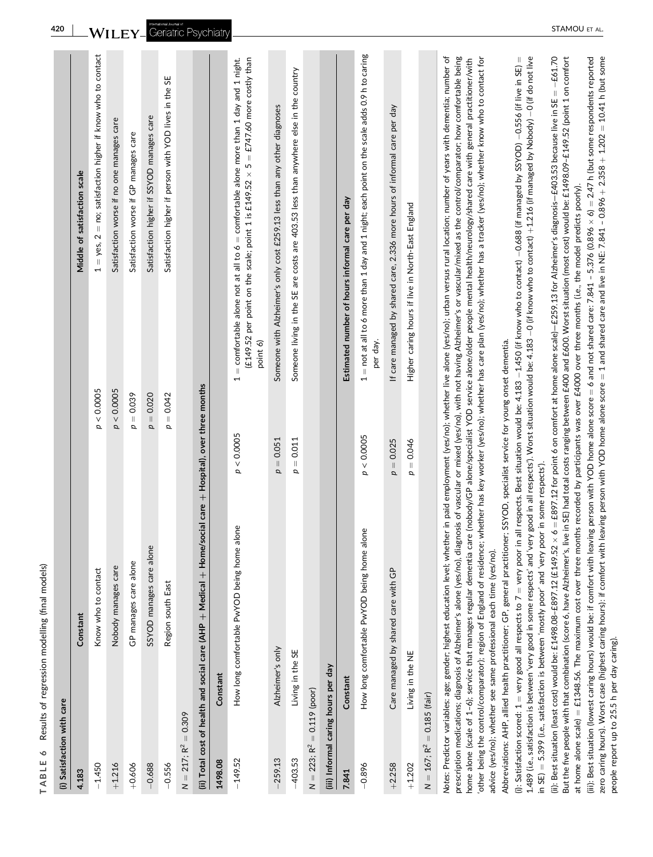<span id="page-9-0"></span>

| (i) Satisfaction with care          |                                                                                                                                                                                                                                                                                                                                                                                                                                                                           |               |                                                                                                                                                                                                                                                                                                                                                                                                                                                                                                                                                                                                                                                                                                                                                                                                                                                                                                                                                                                                                                                                                                                                                                                                                                                                                                                                                                                                                                                                                                                                                                                                                                                                                                                                                                                                                                                                                                                                                                                                                                                                                                                                         |
|-------------------------------------|---------------------------------------------------------------------------------------------------------------------------------------------------------------------------------------------------------------------------------------------------------------------------------------------------------------------------------------------------------------------------------------------------------------------------------------------------------------------------|---------------|-----------------------------------------------------------------------------------------------------------------------------------------------------------------------------------------------------------------------------------------------------------------------------------------------------------------------------------------------------------------------------------------------------------------------------------------------------------------------------------------------------------------------------------------------------------------------------------------------------------------------------------------------------------------------------------------------------------------------------------------------------------------------------------------------------------------------------------------------------------------------------------------------------------------------------------------------------------------------------------------------------------------------------------------------------------------------------------------------------------------------------------------------------------------------------------------------------------------------------------------------------------------------------------------------------------------------------------------------------------------------------------------------------------------------------------------------------------------------------------------------------------------------------------------------------------------------------------------------------------------------------------------------------------------------------------------------------------------------------------------------------------------------------------------------------------------------------------------------------------------------------------------------------------------------------------------------------------------------------------------------------------------------------------------------------------------------------------------------------------------------------------------|
| 4.183                               | Constant                                                                                                                                                                                                                                                                                                                                                                                                                                                                  |               | Middle of satisfaction scale                                                                                                                                                                                                                                                                                                                                                                                                                                                                                                                                                                                                                                                                                                                                                                                                                                                                                                                                                                                                                                                                                                                                                                                                                                                                                                                                                                                                                                                                                                                                                                                                                                                                                                                                                                                                                                                                                                                                                                                                                                                                                                            |
| $-1.450$                            | Know who to contact                                                                                                                                                                                                                                                                                                                                                                                                                                                       | p < 0.0005    | $1 = yes$ , $2 = no$ ; satisfaction higher if know who to contact                                                                                                                                                                                                                                                                                                                                                                                                                                                                                                                                                                                                                                                                                                                                                                                                                                                                                                                                                                                                                                                                                                                                                                                                                                                                                                                                                                                                                                                                                                                                                                                                                                                                                                                                                                                                                                                                                                                                                                                                                                                                       |
| $+1.216$                            | Nobody manages care                                                                                                                                                                                                                                                                                                                                                                                                                                                       | p < 0.0005    | Satisfaction worse if no one manages care                                                                                                                                                                                                                                                                                                                                                                                                                                                                                                                                                                                                                                                                                                                                                                                                                                                                                                                                                                                                                                                                                                                                                                                                                                                                                                                                                                                                                                                                                                                                                                                                                                                                                                                                                                                                                                                                                                                                                                                                                                                                                               |
| $+0.606$                            | GP manages care alone                                                                                                                                                                                                                                                                                                                                                                                                                                                     | $p = 0.039$   | Satisfaction worse if GP manages care                                                                                                                                                                                                                                                                                                                                                                                                                                                                                                                                                                                                                                                                                                                                                                                                                                                                                                                                                                                                                                                                                                                                                                                                                                                                                                                                                                                                                                                                                                                                                                                                                                                                                                                                                                                                                                                                                                                                                                                                                                                                                                   |
| $-0.688$                            | SSYOD manages care alone                                                                                                                                                                                                                                                                                                                                                                                                                                                  | $p = 0.020$   | Satisfaction higher if SSYOD manages care                                                                                                                                                                                                                                                                                                                                                                                                                                                                                                                                                                                                                                                                                                                                                                                                                                                                                                                                                                                                                                                                                                                                                                                                                                                                                                                                                                                                                                                                                                                                                                                                                                                                                                                                                                                                                                                                                                                                                                                                                                                                                               |
| $-0.556$                            | Region south East                                                                                                                                                                                                                                                                                                                                                                                                                                                         | $p = 0.042$   | Satisfaction higher if person with YOD lives in the SE                                                                                                                                                                                                                                                                                                                                                                                                                                                                                                                                                                                                                                                                                                                                                                                                                                                                                                                                                                                                                                                                                                                                                                                                                                                                                                                                                                                                                                                                                                                                                                                                                                                                                                                                                                                                                                                                                                                                                                                                                                                                                  |
| $N = 217; R2 = 0.309$               |                                                                                                                                                                                                                                                                                                                                                                                                                                                                           |               |                                                                                                                                                                                                                                                                                                                                                                                                                                                                                                                                                                                                                                                                                                                                                                                                                                                                                                                                                                                                                                                                                                                                                                                                                                                                                                                                                                                                                                                                                                                                                                                                                                                                                                                                                                                                                                                                                                                                                                                                                                                                                                                                         |
|                                     | (ii) Total cost of health and social care (AHP + Medical + Home/social care + Hospital), over three months                                                                                                                                                                                                                                                                                                                                                                |               |                                                                                                                                                                                                                                                                                                                                                                                                                                                                                                                                                                                                                                                                                                                                                                                                                                                                                                                                                                                                                                                                                                                                                                                                                                                                                                                                                                                                                                                                                                                                                                                                                                                                                                                                                                                                                                                                                                                                                                                                                                                                                                                                         |
| 1498.08                             | Constant                                                                                                                                                                                                                                                                                                                                                                                                                                                                  |               |                                                                                                                                                                                                                                                                                                                                                                                                                                                                                                                                                                                                                                                                                                                                                                                                                                                                                                                                                                                                                                                                                                                                                                                                                                                                                                                                                                                                                                                                                                                                                                                                                                                                                                                                                                                                                                                                                                                                                                                                                                                                                                                                         |
| $-149.52$                           | How long comfortable PwYOD being home alone                                                                                                                                                                                                                                                                                                                                                                                                                               | < 0.0005<br>p | $=$ comfortable alone not at all to $6 =$ comfortable alone more than 1 day and 1 night.<br>(£149.52 per point on the scale; point 1 is £149.52 $\times$ 5 = £747.60 more costly than<br>point 6)<br>$\overline{ }$                                                                                                                                                                                                                                                                                                                                                                                                                                                                                                                                                                                                                                                                                                                                                                                                                                                                                                                                                                                                                                                                                                                                                                                                                                                                                                                                                                                                                                                                                                                                                                                                                                                                                                                                                                                                                                                                                                                     |
| $-259.13$                           | Alzheimer's only                                                                                                                                                                                                                                                                                                                                                                                                                                                          | $p = 0.051$   | Someone with Alzheimer's only cost £259.13 less than any other diagnoses                                                                                                                                                                                                                                                                                                                                                                                                                                                                                                                                                                                                                                                                                                                                                                                                                                                                                                                                                                                                                                                                                                                                                                                                                                                                                                                                                                                                                                                                                                                                                                                                                                                                                                                                                                                                                                                                                                                                                                                                                                                                |
| $-403.53$                           | Living in the SE                                                                                                                                                                                                                                                                                                                                                                                                                                                          | $p = 0.011$   | Someone living in the SE are costs are 403.53 less than anywhere else in the country                                                                                                                                                                                                                                                                                                                                                                                                                                                                                                                                                                                                                                                                                                                                                                                                                                                                                                                                                                                                                                                                                                                                                                                                                                                                                                                                                                                                                                                                                                                                                                                                                                                                                                                                                                                                                                                                                                                                                                                                                                                    |
| $N = 223; R2 = 0.119$ (poor)        |                                                                                                                                                                                                                                                                                                                                                                                                                                                                           |               |                                                                                                                                                                                                                                                                                                                                                                                                                                                                                                                                                                                                                                                                                                                                                                                                                                                                                                                                                                                                                                                                                                                                                                                                                                                                                                                                                                                                                                                                                                                                                                                                                                                                                                                                                                                                                                                                                                                                                                                                                                                                                                                                         |
| (iii) Informal caring hours per day |                                                                                                                                                                                                                                                                                                                                                                                                                                                                           |               |                                                                                                                                                                                                                                                                                                                                                                                                                                                                                                                                                                                                                                                                                                                                                                                                                                                                                                                                                                                                                                                                                                                                                                                                                                                                                                                                                                                                                                                                                                                                                                                                                                                                                                                                                                                                                                                                                                                                                                                                                                                                                                                                         |
| 7.841                               | Constant                                                                                                                                                                                                                                                                                                                                                                                                                                                                  |               | Estimated number of hours informal care per day                                                                                                                                                                                                                                                                                                                                                                                                                                                                                                                                                                                                                                                                                                                                                                                                                                                                                                                                                                                                                                                                                                                                                                                                                                                                                                                                                                                                                                                                                                                                                                                                                                                                                                                                                                                                                                                                                                                                                                                                                                                                                         |
| $-0.896$                            | How long comfortable PwYOD being home alone                                                                                                                                                                                                                                                                                                                                                                                                                               | p < 0.0005    | $1 =$ not at all to 6 more than 1 day and 1 night; each point on the scale adds 0.9 h to caring<br>per day.                                                                                                                                                                                                                                                                                                                                                                                                                                                                                                                                                                                                                                                                                                                                                                                                                                                                                                                                                                                                                                                                                                                                                                                                                                                                                                                                                                                                                                                                                                                                                                                                                                                                                                                                                                                                                                                                                                                                                                                                                             |
| $+2.258$                            | Care managed by shared care with GP                                                                                                                                                                                                                                                                                                                                                                                                                                       | $p = 0.025$   | If care managed by shared care, 2.336 more hours of informal care per day                                                                                                                                                                                                                                                                                                                                                                                                                                                                                                                                                                                                                                                                                                                                                                                                                                                                                                                                                                                                                                                                                                                                                                                                                                                                                                                                                                                                                                                                                                                                                                                                                                                                                                                                                                                                                                                                                                                                                                                                                                                               |
| $+1.202$                            | Living in the NE                                                                                                                                                                                                                                                                                                                                                                                                                                                          | $p = 0.046$   | Higher caring hours if live in North-East England                                                                                                                                                                                                                                                                                                                                                                                                                                                                                                                                                                                                                                                                                                                                                                                                                                                                                                                                                                                                                                                                                                                                                                                                                                                                                                                                                                                                                                                                                                                                                                                                                                                                                                                                                                                                                                                                                                                                                                                                                                                                                       |
| $N = 167; R2 = 0.185$ (fair)        |                                                                                                                                                                                                                                                                                                                                                                                                                                                                           |               |                                                                                                                                                                                                                                                                                                                                                                                                                                                                                                                                                                                                                                                                                                                                                                                                                                                                                                                                                                                                                                                                                                                                                                                                                                                                                                                                                                                                                                                                                                                                                                                                                                                                                                                                                                                                                                                                                                                                                                                                                                                                                                                                         |
|                                     | at home alone scale) = £1348.56. The maximum cost over three months recorded by participants was over £4000 over three months (i.e., the model predicts poorly).<br>Abbreviations: AHP, allied health practitioner; GP, general practitioner; SSYOD, specialist service for young onset dementia.<br>in SE) = 5.399 (i.e., satisfaction is between 'mostly poor' and 'very poor in some respects').<br>advice (yes/no); whether see same professional each time (yes/no). |               | zero caring hours). Worst case (highest caring hours): if comfort with leaving person with YOD home alone score = 1 and shared care and live in NE: 7.841 - 0.896 + 2.358 + 1.202 = 10.41 h (but some<br>Notes: Predictor variables: age; gender; highest education level; whether in paid employment (yes/no); whether live alone (yes/no); urban versus rural location; number of years with dementia; number of<br>prescription medications; diagnosis of Alzheimer's alone (yes/no), diagnosis of vascular or mixed o), with not having Alzheimer's or vascular/mixed as the control/comparator; how comfortable being<br>$\, \parallel$<br>But the five people with that combination (score 6, have Alzheimer's, live in SE) had total costs ranging between £400 and £600. Worst situation (most cost) would be: £1498.09-£149.52 (point 1 on comfort<br>(iii): Best situation (lowest caring hours) would be: if comfort with heaving person with YOD home alone score = 6 and not shared care: 7.841 - 5.376 (0.896 × 6) = 2.47 h (but some respondents reported<br>other being the control/comparator); region of England of residence; whether has key worker (yes/no); whether has care plan (yes/no); whether has a tracker (yes/no); whether know who to contact for<br>1.489 (i.e., satisfaction is between 'very good in some respects' and 'very good in all respects'). Worst situation would be: 4.183 –0 (if know who to contact) +1.216 (if managed by Nobody) –0 (if do not live<br>(ii): Best situation (least cost) would be: £1498.08-£897.12 (£149.52 × 6 = £897.12 for point 6 on comfort at home alone scale)-£259.13 for Alzheimer's diagnosis-£403.53 because live in SE = -£61.70<br>home alone (scale of 1-6); service that manages regular dementia care (nobody/GP alone/specialist YOD service alone/older people mental health/neurology/shared care with general practitioner/with<br>(i): Satisfaction scored: $1 =$ very good all respects to $7 =$ very poor in all respects. Best situation would be: 4.183 -1.450 (if know who to contact) -0.688 (if managed by SSYOD) -0.556 (if live in SE) |

**TABLE 6** Results of regression modelling (final models)

TABLE 6 Results of regression modelling (final models)

people report up to 25.5 h per day caring).

people report up to 25.5 h per day caring).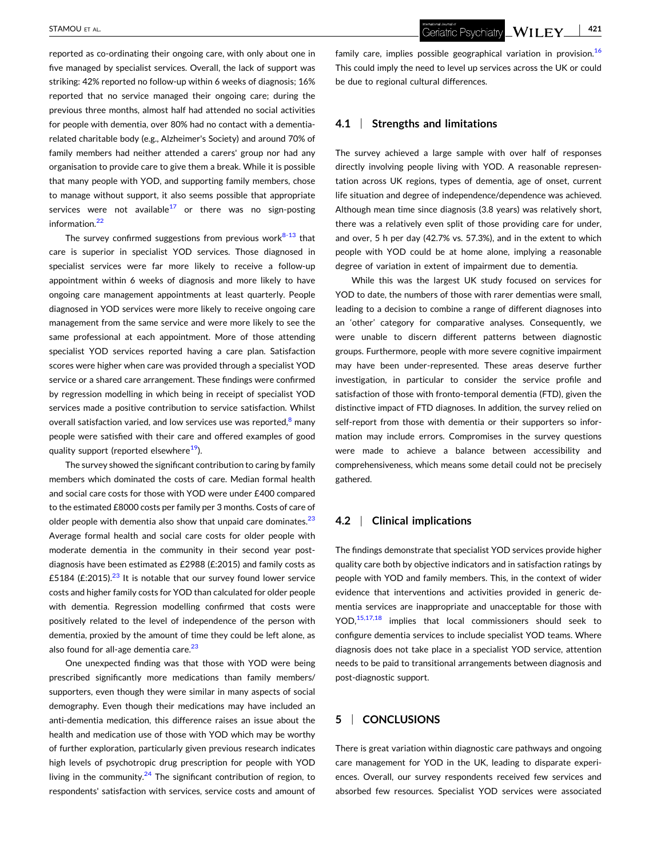reported as co-ordinating their ongoing care, with only about one in five managed by specialist services. Overall, the lack of support was striking: 42% reported no follow‐up within 6 weeks of diagnosis; 16% reported that no service managed their ongoing care; during the previous three months, almost half had attended no social activities for people with dementia, over 80% had no contact with a dementia‐ related charitable body (e.g., Alzheimer's Society) and around 70% of family members had neither attended a carers' group nor had any organisation to provide care to give them a break. While it is possible that many people with YOD, and supporting family members, chose to manage without support, it also seems possible that appropriate services were not available<sup>17</sup> or there was no sign-posting information.<sup>[22](#page-11-0)</sup>

The survey confirmed suggestions from previous work $8-13$  $8-13$  that care is superior in specialist YOD services. Those diagnosed in specialist services were far more likely to receive a follow‐up appointment within 6 weeks of diagnosis and more likely to have ongoing care management appointments at least quarterly. People diagnosed in YOD services were more likely to receive ongoing care management from the same service and were more likely to see the same professional at each appointment. More of those attending specialist YOD services reported having a care plan. Satisfaction scores were higher when care was provided through a specialist YOD service or a shared care arrangement. These findings were confirmed by regression modelling in which being in receipt of specialist YOD services made a positive contribution to service satisfaction. Whilst overall satisfaction varied, and low services use was reported, $8$  many people were satisfied with their care and offered examples of good quality support (reported elsewhere<sup>19</sup>).

The survey showed the significant contribution to caring by family members which dominated the costs of care. Median formal health and social care costs for those with YOD were under £400 compared to the estimated £8000 costs per family per 3 months. Costs of care of older people with dementia also show that unpaid care dominates. $23$ Average formal health and social care costs for older people with moderate dementia in the community in their second year postdiagnosis have been estimated as £2988 (£:2015) and family costs as £5184 (£:2015). $23$  It is notable that our survey found lower service costs and higher family costs for YOD than calculated for older people with dementia. Regression modelling confirmed that costs were positively related to the level of independence of the person with dementia, proxied by the amount of time they could be left alone, as also found for all-age dementia care. $23$ 

One unexpected finding was that those with YOD were being prescribed significantly more medications than family members/ supporters, even though they were similar in many aspects of social demography. Even though their medications may have included an anti-dementia medication, this difference raises an issue about the health and medication use of those with YOD which may be worthy of further exploration, particularly given previous research indicates high levels of psychotropic drug prescription for people with YOD living in the community.<sup>24</sup> The significant contribution of region, to respondents' satisfaction with services, service costs and amount of family care, implies possible geographical variation in provision.<sup>[16](#page-11-0)</sup> This could imply the need to level up services across the UK or could be due to regional cultural differences.

# **4.1** <sup>|</sup> **Strengths and limitations**

The survey achieved a large sample with over half of responses directly involving people living with YOD. A reasonable representation across UK regions, types of dementia, age of onset, current life situation and degree of independence/dependence was achieved. Although mean time since diagnosis (3.8 years) was relatively short, there was a relatively even split of those providing care for under, and over, 5 h per day (42.7% vs. 57.3%), and in the extent to which people with YOD could be at home alone, implying a reasonable degree of variation in extent of impairment due to dementia.

While this was the largest UK study focused on services for YOD to date, the numbers of those with rarer dementias were small, leading to a decision to combine a range of different diagnoses into an 'other' category for comparative analyses. Consequently, we were unable to discern different patterns between diagnostic groups. Furthermore, people with more severe cognitive impairment may have been under‐represented. These areas deserve further investigation, in particular to consider the service profile and satisfaction of those with fronto-temporal dementia (FTD), given the distinctive impact of FTD diagnoses. In addition, the survey relied on self-report from those with dementia or their supporters so information may include errors. Compromises in the survey questions were made to achieve a balance between accessibility and comprehensiveness, which means some detail could not be precisely gathered.

### **4.2** <sup>|</sup> **Clinical implications**

The findings demonstrate that specialist YOD services provide higher quality care both by objective indicators and in satisfaction ratings by people with YOD and family members. This, in the context of wider evidence that interventions and activities provided in generic dementia services are inappropriate and unacceptable for those with YOD, $15,17,18$  implies that local commissioners should seek to configure dementia services to include specialist YOD teams. Where diagnosis does not take place in a specialist YOD service, attention needs to be paid to transitional arrangements between diagnosis and post‐diagnostic support.

# **5** <sup>|</sup> **CONCLUSIONS**

There is great variation within diagnostic care pathways and ongoing care management for YOD in the UK, leading to disparate experiences. Overall, our survey respondents received few services and absorbed few resources. Specialist YOD services were associated